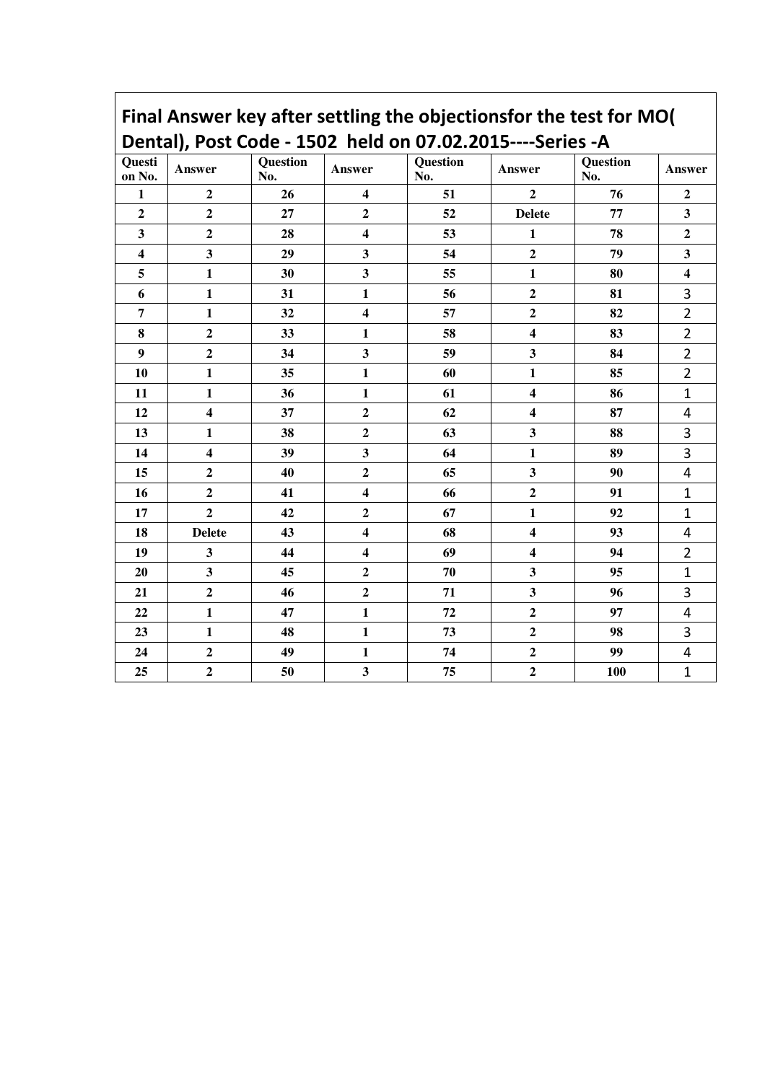## Final Answer key after settling the objectionsfor the test for MO( Dental), Post Code - 1502 held on 07.02.2015----Series -A

| . <i>. .</i>            |                         |                 |                         |                 |                         |                 |                         |  |  |  |
|-------------------------|-------------------------|-----------------|-------------------------|-----------------|-------------------------|-----------------|-------------------------|--|--|--|
| Questi<br>on No.        | Answer                  | Question<br>No. | Answer                  | Question<br>No. | Answer                  | Question<br>No. | Answer                  |  |  |  |
| $\mathbf{1}$            | $\overline{2}$          | 26              | $\overline{\mathbf{4}}$ | 51              | $\overline{2}$          | 76              | $\overline{2}$          |  |  |  |
| $\overline{2}$          | $\overline{2}$          | 27              | $\overline{2}$          | 52              | <b>Delete</b>           | 77              | $\overline{\mathbf{3}}$ |  |  |  |
| $\overline{\mathbf{3}}$ | $\overline{2}$          | 28              | $\overline{\mathbf{4}}$ | 53              | $\mathbf{1}$            | 78              | $\overline{2}$          |  |  |  |
| $\overline{\mathbf{4}}$ | $\overline{\mathbf{3}}$ | 29              | $\overline{\mathbf{3}}$ | 54              | $\boldsymbol{2}$        | 79              | $\overline{\mathbf{3}}$ |  |  |  |
| 5                       | $\mathbf{1}$            | 30              | $\overline{\mathbf{3}}$ | 55              | $\mathbf{1}$            | 80              | $\overline{\mathbf{4}}$ |  |  |  |
| 6                       | $\mathbf{1}$            | 31              | $\mathbf{1}$            | 56              | $\overline{2}$          | 81              | 3                       |  |  |  |
| $\overline{7}$          | $\mathbf{1}$            | 32              | $\overline{\mathbf{4}}$ | 57              | $\overline{\mathbf{2}}$ | 82              | $\overline{2}$          |  |  |  |
| 8                       | $\overline{2}$          | 33              | $\mathbf{1}$            | 58              | $\overline{\mathbf{4}}$ | 83              | $\overline{2}$          |  |  |  |
| $\boldsymbol{9}$        | $\overline{2}$          | 34              | $\overline{\mathbf{3}}$ | 59              | $\mathbf{3}$            | 84              | $\overline{2}$          |  |  |  |
| 10                      | $\mathbf{1}$            | 35              | $\mathbf{1}$            | 60              | $\mathbf{1}$            | 85              | $\overline{2}$          |  |  |  |
| 11                      | $\mathbf{1}$            | 36              | $\mathbf{1}$            | 61              | $\overline{\mathbf{4}}$ | 86              | $\mathbf{1}$            |  |  |  |
| 12                      | $\overline{\mathbf{4}}$ | 37              | $\overline{\mathbf{c}}$ | 62              | $\overline{\mathbf{4}}$ | 87              | $\overline{\mathbf{4}}$ |  |  |  |
| 13                      | $\mathbf{1}$            | 38              | $\overline{\mathbf{2}}$ | 63              | $\mathbf{3}$            | 88              | 3                       |  |  |  |
| 14                      | $\overline{\mathbf{4}}$ | 39              | $\overline{\mathbf{3}}$ | 64              | $\mathbf{1}$            | 89              | $\overline{\mathbf{3}}$ |  |  |  |
| 15                      | $\overline{2}$          | 40              | $\overline{2}$          | 65              | $\mathbf{3}$            | 90              | $\overline{\mathbf{4}}$ |  |  |  |
| 16                      | $\overline{2}$          | 41              | $\overline{\mathbf{4}}$ | 66              | $\mathbf{2}$            | 91              | $\mathbf{1}$            |  |  |  |
| 17                      | $\overline{2}$          | 42              | $\overline{2}$          | 67              | $\mathbf{1}$            | 92              | $\mathbf{1}$            |  |  |  |
| 18                      | <b>Delete</b>           | 43              | $\overline{\mathbf{4}}$ | 68              | $\overline{\mathbf{4}}$ | 93              | $\overline{\mathbf{4}}$ |  |  |  |
| 19                      | $\overline{\mathbf{3}}$ | 44              | $\overline{\mathbf{4}}$ | 69              | $\overline{\mathbf{4}}$ | 94              | $\overline{2}$          |  |  |  |
| 20                      | $\mathbf{3}$            | 45              | $\overline{2}$          | $70\,$          | $\mathbf{3}$            | 95              | $\mathbf{1}$            |  |  |  |
| 21                      | $\overline{2}$          | 46              | $\overline{2}$          | 71              | $\overline{\mathbf{3}}$ | 96              | 3                       |  |  |  |
| 22                      | $\mathbf{1}$            | 47              | $\mathbf{1}$            | 72              | $\mathbf{2}$            | 97              | $\overline{\mathbf{4}}$ |  |  |  |
| 23                      | $\mathbf{1}$            | 48              | $\mathbf{1}$            | 73              | $\boldsymbol{2}$        | 98              | $\overline{\mathbf{3}}$ |  |  |  |
| 24                      | $\overline{2}$          | 49              | $\mathbf{1}$            | 74              | $\mathbf{2}$            | 99              | $\overline{\mathbf{4}}$ |  |  |  |
| 25                      | $\overline{2}$          | 50              | $\overline{\mathbf{3}}$ | 75              | $\overline{2}$          | 100             | $\mathbf{1}$            |  |  |  |